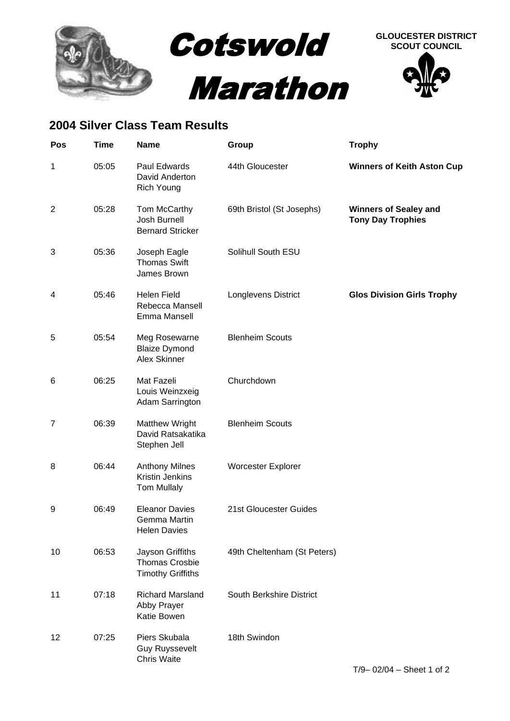

## **2004 Silver Class Team Results**

| Pos            | <b>Time</b> | <b>Name</b>                                                           | Group                       | <b>Trophy</b>                                            |
|----------------|-------------|-----------------------------------------------------------------------|-----------------------------|----------------------------------------------------------|
| 1              | 05:05       | Paul Edwards<br>David Anderton<br><b>Rich Young</b>                   | 44th Gloucester             | <b>Winners of Keith Aston Cup</b>                        |
| $\overline{2}$ | 05:28       | Tom McCarthy<br>Josh Burnell<br><b>Bernard Stricker</b>               | 69th Bristol (St Josephs)   | <b>Winners of Sealey and</b><br><b>Tony Day Trophies</b> |
| 3              | 05:36       | Joseph Eagle<br><b>Thomas Swift</b><br>James Brown                    | Solihull South ESU          |                                                          |
| 4              | 05:46       | <b>Helen Field</b><br>Rebecca Mansell<br>Emma Mansell                 | Longlevens District         | <b>Glos Division Girls Trophy</b>                        |
| 5              | 05:54       | Meg Rosewarne<br><b>Blaize Dymond</b><br>Alex Skinner                 | <b>Blenheim Scouts</b>      |                                                          |
| 6              | 06:25       | Mat Fazeli<br>Louis Weinzxeig<br>Adam Sarrington                      | Churchdown                  |                                                          |
| $\overline{7}$ | 06:39       | <b>Matthew Wright</b><br>David Ratsakatika<br>Stephen Jell            | <b>Blenheim Scouts</b>      |                                                          |
| 8              | 06:44       | <b>Anthony Milnes</b><br>Kristin Jenkins<br><b>Tom Mullaly</b>        | Worcester Explorer          |                                                          |
| 9              | 06:49       | <b>Eleanor Davies</b><br>Gemma Martin<br><b>Helen Davies</b>          | 21st Gloucester Guides      |                                                          |
| 10             | 06:53       | Jayson Griffiths<br><b>Thomas Crosbie</b><br><b>Timothy Griffiths</b> | 49th Cheltenham (St Peters) |                                                          |
| 11             | 07:18       | <b>Richard Marsland</b><br>Abby Prayer<br>Katie Bowen                 | South Berkshire District    |                                                          |
| 12             | 07:25       | Piers Skubala<br><b>Guy Ruyssevelt</b><br><b>Chris Waite</b>          | 18th Swindon                |                                                          |